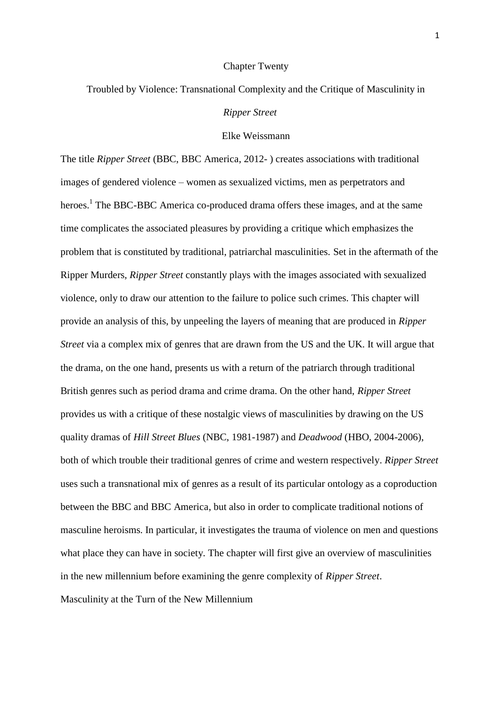#### Chapter Twenty

# Troubled by Violence: Transnational Complexity and the Critique of Masculinity in

# *Ripper Street*

## Elke Weissmann

The title *Ripper Street* (BBC, BBC America, 2012- ) creates associations with traditional images of gendered violence – women as sexualized victims, men as perpetrators and heroes.<sup>1</sup> The BBC-BBC America co-produced drama offers these images, and at the same time complicates the associated pleasures by providing a critique which emphasizes the problem that is constituted by traditional, patriarchal masculinities. Set in the aftermath of the Ripper Murders, *Ripper Street* constantly plays with the images associated with sexualized violence, only to draw our attention to the failure to police such crimes. This chapter will provide an analysis of this, by unpeeling the layers of meaning that are produced in *Ripper Street* via a complex mix of genres that are drawn from the US and the UK. It will argue that the drama, on the one hand, presents us with a return of the patriarch through traditional British genres such as period drama and crime drama. On the other hand, *Ripper Street* provides us with a critique of these nostalgic views of masculinities by drawing on the US quality dramas of *Hill Street Blues* (NBC, 1981-1987) and *Deadwood* (HBO, 2004-2006), both of which trouble their traditional genres of crime and western respectively. *Ripper Street* uses such a transnational mix of genres as a result of its particular ontology as a coproduction between the BBC and BBC America, but also in order to complicate traditional notions of masculine heroisms. In particular, it investigates the trauma of violence on men and questions what place they can have in society. The chapter will first give an overview of masculinities in the new millennium before examining the genre complexity of *Ripper Street*. Masculinity at the Turn of the New Millennium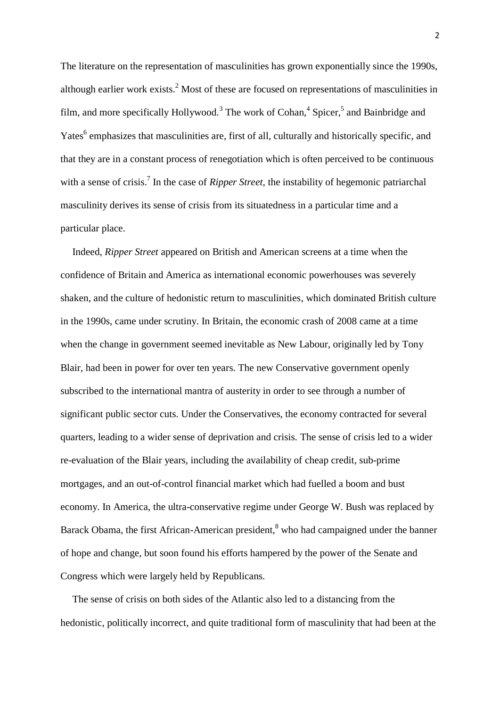The literature on the representation of masculinities has grown exponentially since the 1990s, although earlier work exists.<sup>2</sup> Most of these are focused on representations of masculinities in film, and more specifically Hollywood.<sup>3</sup> The work of Cohan,<sup>4</sup> Spicer,<sup>5</sup> and Bainbridge and Yates<sup>6</sup> emphasizes that masculinities are, first of all, culturally and historically specific, and that they are in a constant process of renegotiation which is often perceived to be continuous with a sense of crisis.<sup>7</sup> In the case of *Ripper Street*, the instability of hegemonic patriarchal masculinity derives its sense of crisis from its situatedness in a particular time and a particular place.

Indeed, *Ripper Street* appeared on British and American screens at a time when the confidence of Britain and America as international economic powerhouses was severely shaken, and the culture of hedonistic return to masculinities, which dominated British culture in the 1990s, came under scrutiny. In Britain, the economic crash of 2008 came at a time when the change in government seemed inevitable as New Labour, originally led by Tony Blair, had been in power for over ten years. The new Conservative government openly subscribed to the international mantra of austerity in order to see through a number of significant public sector cuts. Under the Conservatives, the economy contracted for several quarters, leading to a wider sense of deprivation and crisis. The sense of crisis led to a wider re-evaluation of the Blair years, including the availability of cheap credit, sub-prime mortgages, and an out-of-control financial market which had fuelled a boom and bust economy. In America, the ultra-conservative regime under George W. Bush was replaced by Barack Obama, the first African-American president, $\delta$  who had campaigned under the banner of hope and change, but soon found his efforts hampered by the power of the Senate and Congress which were largely held by Republicans.

The sense of crisis on both sides of the Atlantic also led to a distancing from the hedonistic, politically incorrect, and quite traditional form of masculinity that had been at the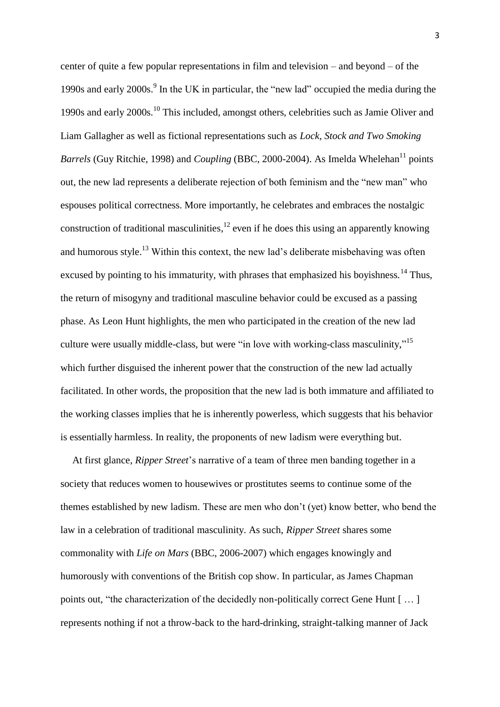center of quite a few popular representations in film and television – and beyond – of the 1990s and early 2000s. 9 In the UK in particular, the "new lad" occupied the media during the 1990s and early 2000s.<sup>10</sup> This included, amongst others, celebrities such as Jamie Oliver and Liam Gallagher as well as fictional representations such as *Lock, Stock and Two Smoking Barrels* (Guy Ritchie, 1998) and *Coupling* (BBC, 2000-2004). As Imelda Whelehan<sup>11</sup> points out, the new lad represents a deliberate rejection of both feminism and the "new man" who espouses political correctness. More importantly, he celebrates and embraces the nostalgic construction of traditional masculinities,  $^{12}$  even if he does this using an apparently knowing and humorous style.<sup>13</sup> Within this context, the new lad's deliberate misbehaving was often excused by pointing to his immaturity, with phrases that emphasized his boyishness.<sup>14</sup> Thus, the return of misogyny and traditional masculine behavior could be excused as a passing phase. As Leon Hunt highlights, the men who participated in the creation of the new lad culture were usually middle-class, but were "in love with working-class masculinity,"<sup>15</sup> which further disguised the inherent power that the construction of the new lad actually facilitated. In other words, the proposition that the new lad is both immature and affiliated to the working classes implies that he is inherently powerless, which suggests that his behavior is essentially harmless. In reality, the proponents of new ladism were everything but.

At first glance, *Ripper Street*'s narrative of a team of three men banding together in a society that reduces women to housewives or prostitutes seems to continue some of the themes established by new ladism. These are men who don't (yet) know better, who bend the law in a celebration of traditional masculinity. As such, *Ripper Street* shares some commonality with *Life on Mars* (BBC, 2006-2007) which engages knowingly and humorously with conventions of the British cop show. In particular, as James Chapman points out, "the characterization of the decidedly non-politically correct Gene Hunt [ … ] represents nothing if not a throw-back to the hard-drinking, straight-talking manner of Jack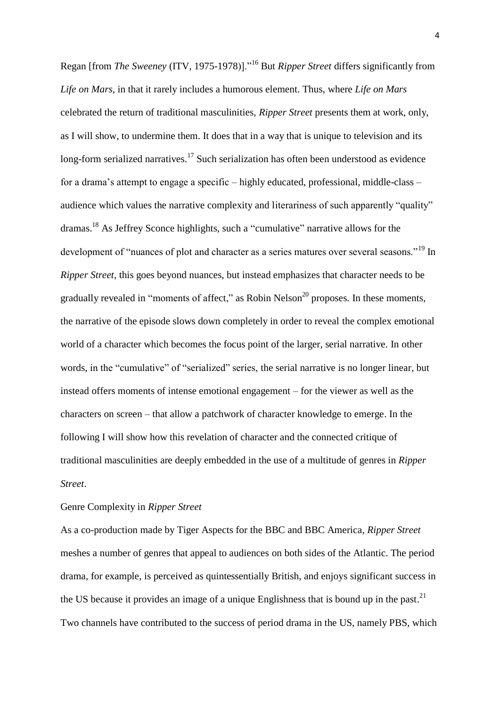Regan [from *The Sweeney* (ITV, 1975-1978)]."<sup>16</sup> But *Ripper Street* differs significantly from *Life on Mars*, in that it rarely includes a humorous element. Thus, where *Life on Mars* celebrated the return of traditional masculinities, *Ripper Street* presents them at work, only, as I will show, to undermine them. It does that in a way that is unique to television and its long-form serialized narratives.<sup>17</sup> Such serialization has often been understood as evidence for a drama's attempt to engage a specific – highly educated, professional, middle-class – audience which values the narrative complexity and literariness of such apparently "quality" dramas.<sup>18</sup> As Jeffrey Sconce highlights, such a "cumulative" narrative allows for the development of "nuances of plot and character as a series matures over several seasons."<sup>19</sup> In *Ripper Street*, this goes beyond nuances, but instead emphasizes that character needs to be gradually revealed in "moments of affect," as Robin Nelson<sup>20</sup> proposes. In these moments, the narrative of the episode slows down completely in order to reveal the complex emotional world of a character which becomes the focus point of the larger, serial narrative. In other words, in the "cumulative" of "serialized" series, the serial narrative is no longer linear, but instead offers moments of intense emotional engagement – for the viewer as well as the characters on screen – that allow a patchwork of character knowledge to emerge. In the following I will show how this revelation of character and the connected critique of traditional masculinities are deeply embedded in the use of a multitude of genres in *Ripper Street*.

## Genre Complexity in *Ripper Street*

As a co-production made by Tiger Aspects for the BBC and BBC America, *Ripper Street*  meshes a number of genres that appeal to audiences on both sides of the Atlantic. The period drama, for example, is perceived as quintessentially British, and enjoys significant success in the US because it provides an image of a unique Englishness that is bound up in the past.<sup>21</sup> Two channels have contributed to the success of period drama in the US, namely PBS, which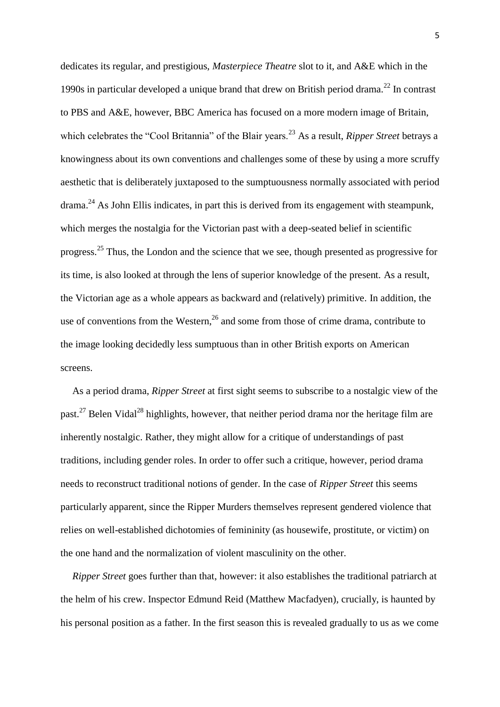dedicates its regular, and prestigious, *Masterpiece Theatre* slot to it, and A&E which in the 1990s in particular developed a unique brand that drew on British period drama.<sup>22</sup> In contrast to PBS and A&E, however, BBC America has focused on a more modern image of Britain, which celebrates the "Cool Britannia" of the Blair years.<sup>23</sup> As a result, *Ripper Street* betrays a knowingness about its own conventions and challenges some of these by using a more scruffy aesthetic that is deliberately juxtaposed to the sumptuousness normally associated with period drama.<sup>24</sup> As John Ellis indicates, in part this is derived from its engagement with steampunk, which merges the nostalgia for the Victorian past with a deep-seated belief in scientific progress.<sup>25</sup> Thus, the London and the science that we see, though presented as progressive for its time, is also looked at through the lens of superior knowledge of the present. As a result, the Victorian age as a whole appears as backward and (relatively) primitive. In addition, the use of conventions from the Western, $^{26}$  and some from those of crime drama, contribute to the image looking decidedly less sumptuous than in other British exports on American screens.

As a period drama, *Ripper Street* at first sight seems to subscribe to a nostalgic view of the past.<sup>27</sup> Belen Vidal<sup>28</sup> highlights, however, that neither period drama nor the heritage film are inherently nostalgic. Rather, they might allow for a critique of understandings of past traditions, including gender roles. In order to offer such a critique, however, period drama needs to reconstruct traditional notions of gender. In the case of *Ripper Street* this seems particularly apparent, since the Ripper Murders themselves represent gendered violence that relies on well-established dichotomies of femininity (as housewife, prostitute, or victim) on the one hand and the normalization of violent masculinity on the other.

*Ripper Street* goes further than that, however: it also establishes the traditional patriarch at the helm of his crew. Inspector Edmund Reid (Matthew Macfadyen), crucially, is haunted by his personal position as a father. In the first season this is revealed gradually to us as we come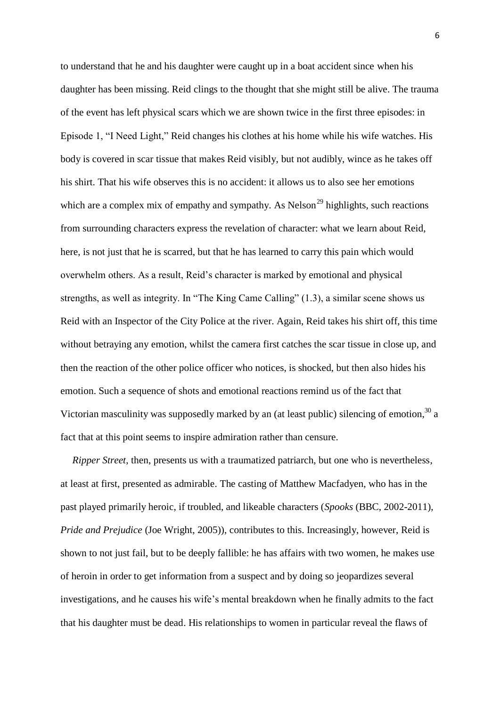to understand that he and his daughter were caught up in a boat accident since when his daughter has been missing. Reid clings to the thought that she might still be alive. The trauma of the event has left physical scars which we are shown twice in the first three episodes: in Episode 1, "I Need Light," Reid changes his clothes at his home while his wife watches. His body is covered in scar tissue that makes Reid visibly, but not audibly, wince as he takes off his shirt. That his wife observes this is no accident: it allows us to also see her emotions which are a complex mix of empathy and sympathy. As  $Nelson^{29}$  highlights, such reactions from surrounding characters express the revelation of character: what we learn about Reid, here, is not just that he is scarred, but that he has learned to carry this pain which would overwhelm others. As a result, Reid's character is marked by emotional and physical strengths, as well as integrity. In "The King Came Calling" (1.3), a similar scene shows us Reid with an Inspector of the City Police at the river. Again, Reid takes his shirt off, this time without betraying any emotion, whilst the camera first catches the scar tissue in close up, and then the reaction of the other police officer who notices, is shocked, but then also hides his emotion. Such a sequence of shots and emotional reactions remind us of the fact that Victorian masculinity was supposedly marked by an (at least public) silencing of emotion,  $30$  a fact that at this point seems to inspire admiration rather than censure.

*Ripper Street*, then, presents us with a traumatized patriarch, but one who is nevertheless, at least at first, presented as admirable. The casting of Matthew Macfadyen, who has in the past played primarily heroic, if troubled, and likeable characters (*Spooks* (BBC, 2002-2011), *Pride and Prejudice* (Joe Wright, 2005)), contributes to this. Increasingly, however, Reid is shown to not just fail, but to be deeply fallible: he has affairs with two women, he makes use of heroin in order to get information from a suspect and by doing so jeopardizes several investigations, and he causes his wife's mental breakdown when he finally admits to the fact that his daughter must be dead. His relationships to women in particular reveal the flaws of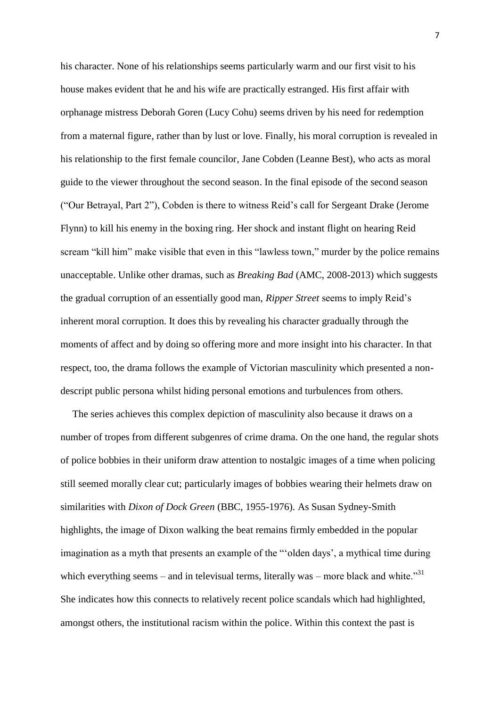his character. None of his relationships seems particularly warm and our first visit to his house makes evident that he and his wife are practically estranged. His first affair with orphanage mistress Deborah Goren (Lucy Cohu) seems driven by his need for redemption from a maternal figure, rather than by lust or love. Finally, his moral corruption is revealed in his relationship to the first female councilor, Jane Cobden (Leanne Best), who acts as moral guide to the viewer throughout the second season. In the final episode of the second season ("Our Betrayal, Part 2"), Cobden is there to witness Reid's call for Sergeant Drake (Jerome Flynn) to kill his enemy in the boxing ring. Her shock and instant flight on hearing Reid scream "kill him" make visible that even in this "lawless town," murder by the police remains unacceptable. Unlike other dramas, such as *Breaking Bad* (AMC, 2008-2013) which suggests the gradual corruption of an essentially good man, *Ripper Street* seems to imply Reid's inherent moral corruption. It does this by revealing his character gradually through the moments of affect and by doing so offering more and more insight into his character. In that respect, too, the drama follows the example of Victorian masculinity which presented a nondescript public persona whilst hiding personal emotions and turbulences from others.

The series achieves this complex depiction of masculinity also because it draws on a number of tropes from different subgenres of crime drama. On the one hand, the regular shots of police bobbies in their uniform draw attention to nostalgic images of a time when policing still seemed morally clear cut; particularly images of bobbies wearing their helmets draw on similarities with *Dixon of Dock Green* (BBC, 1955-1976). As Susan Sydney-Smith highlights, the image of Dixon walking the beat remains firmly embedded in the popular imagination as a myth that presents an example of the "'olden days', a mythical time during which everything seems – and in televisual terms, literally was – more black and white.<sup>31</sup> She indicates how this connects to relatively recent police scandals which had highlighted, amongst others, the institutional racism within the police. Within this context the past is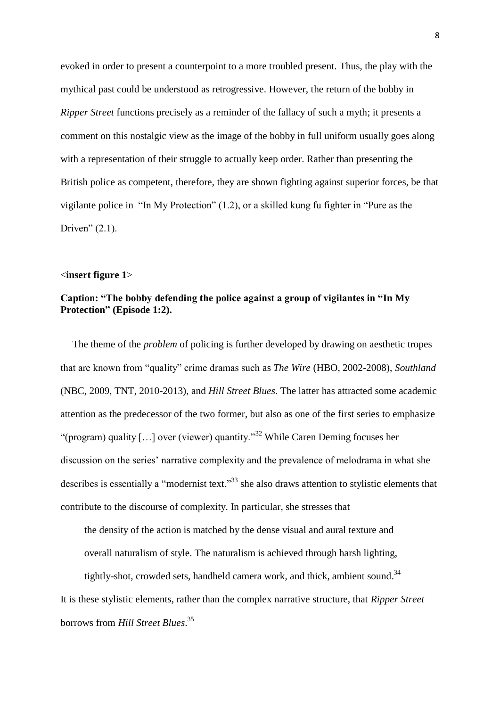evoked in order to present a counterpoint to a more troubled present. Thus, the play with the mythical past could be understood as retrogressive. However, the return of the bobby in *Ripper Street* functions precisely as a reminder of the fallacy of such a myth; it presents a comment on this nostalgic view as the image of the bobby in full uniform usually goes along with a representation of their struggle to actually keep order. Rather than presenting the British police as competent, therefore, they are shown fighting against superior forces, be that vigilante police in "In My Protection" (1.2), or a skilled kung fu fighter in "Pure as the Driven"  $(2.1)$ .

#### <**insert figure 1**>

## **Caption: "The bobby defending the police against a group of vigilantes in "In My Protection" (Episode 1:2).**

The theme of the *problem* of policing is further developed by drawing on aesthetic tropes that are known from "quality" crime dramas such as *The Wire* (HBO, 2002-2008), *Southland* (NBC, 2009, TNT, 2010-2013), and *Hill Street Blues*. The latter has attracted some academic attention as the predecessor of the two former, but also as one of the first series to emphasize "(program) quality [ $\dots$ ] over (viewer) quantity."<sup>32</sup> While Caren Deming focuses her discussion on the series' narrative complexity and the prevalence of melodrama in what she describes is essentially a "modernist text,"<sup>33</sup> she also draws attention to stylistic elements that contribute to the discourse of complexity. In particular, she stresses that

the density of the action is matched by the dense visual and aural texture and

overall naturalism of style. The naturalism is achieved through harsh lighting,

tightly-shot, crowded sets, handheld camera work, and thick, ambient sound.<sup>34</sup>

It is these stylistic elements, rather than the complex narrative structure, that *Ripper Street* borrows from *Hill Street Blues*. 35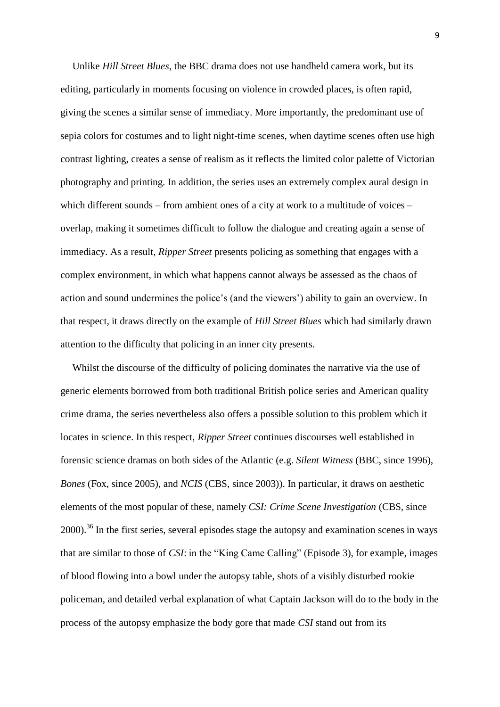Unlike *Hill Street Blues*, the BBC drama does not use handheld camera work, but its editing, particularly in moments focusing on violence in crowded places, is often rapid, giving the scenes a similar sense of immediacy. More importantly, the predominant use of sepia colors for costumes and to light night-time scenes, when daytime scenes often use high contrast lighting, creates a sense of realism as it reflects the limited color palette of Victorian photography and printing. In addition, the series uses an extremely complex aural design in which different sounds – from ambient ones of a city at work to a multitude of voices – overlap, making it sometimes difficult to follow the dialogue and creating again a sense of immediacy. As a result, *Ripper Street* presents policing as something that engages with a complex environment, in which what happens cannot always be assessed as the chaos of action and sound undermines the police's (and the viewers') ability to gain an overview. In that respect, it draws directly on the example of *Hill Street Blues* which had similarly drawn attention to the difficulty that policing in an inner city presents.

Whilst the discourse of the difficulty of policing dominates the narrative via the use of generic elements borrowed from both traditional British police series and American quality crime drama, the series nevertheless also offers a possible solution to this problem which it locates in science. In this respect, *Ripper Street* continues discourses well established in forensic science dramas on both sides of the Atlantic (e.g. *Silent Witness* (BBC, since 1996), *Bones* (Fox, since 2005), and *NCIS* (CBS, since 2003)). In particular, it draws on aesthetic elements of the most popular of these, namely *CSI: Crime Scene Investigation* (CBS, since  $2000$ <sup>36</sup>. In the first series, several episodes stage the autopsy and examination scenes in ways that are similar to those of *CSI*: in the "King Came Calling" (Episode 3), for example, images of blood flowing into a bowl under the autopsy table, shots of a visibly disturbed rookie policeman, and detailed verbal explanation of what Captain Jackson will do to the body in the process of the autopsy emphasize the body gore that made *CSI* stand out from its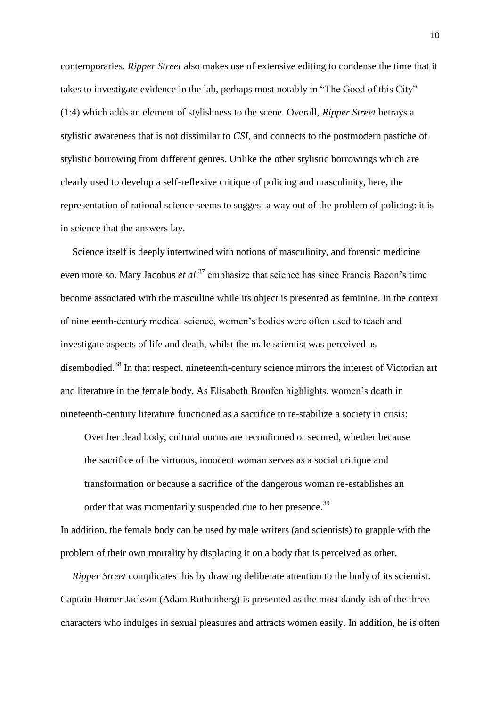contemporaries. *Ripper Street* also makes use of extensive editing to condense the time that it takes to investigate evidence in the lab, perhaps most notably in "The Good of this City" (1:4) which adds an element of stylishness to the scene. Overall, *Ripper Street* betrays a stylistic awareness that is not dissimilar to *CSI*, and connects to the postmodern pastiche of stylistic borrowing from different genres. Unlike the other stylistic borrowings which are clearly used to develop a self-reflexive critique of policing and masculinity, here, the representation of rational science seems to suggest a way out of the problem of policing: it is in science that the answers lay.

Science itself is deeply intertwined with notions of masculinity, and forensic medicine even more so. Mary Jacobus *et al*. <sup>37</sup> emphasize that science has since Francis Bacon's time become associated with the masculine while its object is presented as feminine. In the context of nineteenth-century medical science, women's bodies were often used to teach and investigate aspects of life and death, whilst the male scientist was perceived as disembodied.<sup>38</sup> In that respect, nineteenth-century science mirrors the interest of Victorian art and literature in the female body. As Elisabeth Bronfen highlights, women's death in nineteenth-century literature functioned as a sacrifice to re-stabilize a society in crisis:

Over her dead body, cultural norms are reconfirmed or secured, whether because the sacrifice of the virtuous, innocent woman serves as a social critique and transformation or because a sacrifice of the dangerous woman re-establishes an order that was momentarily suspended due to her presence.<sup>39</sup>

In addition, the female body can be used by male writers (and scientists) to grapple with the problem of their own mortality by displacing it on a body that is perceived as other.

*Ripper Street* complicates this by drawing deliberate attention to the body of its scientist. Captain Homer Jackson (Adam Rothenberg) is presented as the most dandy-ish of the three characters who indulges in sexual pleasures and attracts women easily. In addition, he is often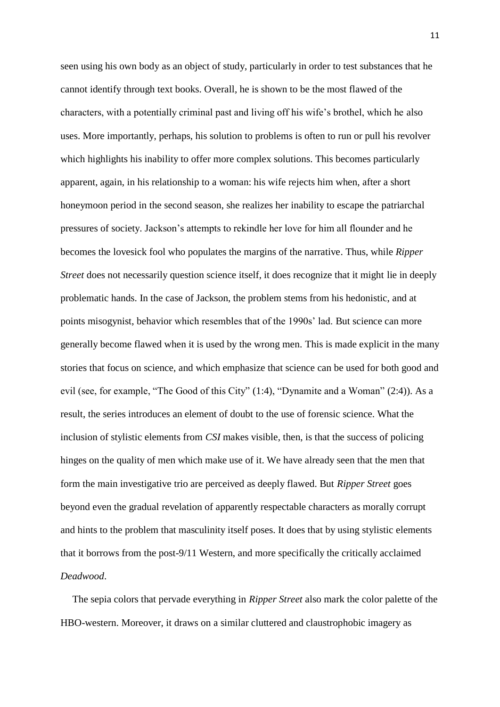seen using his own body as an object of study, particularly in order to test substances that he cannot identify through text books. Overall, he is shown to be the most flawed of the characters, with a potentially criminal past and living off his wife's brothel, which he also uses. More importantly, perhaps, his solution to problems is often to run or pull his revolver which highlights his inability to offer more complex solutions. This becomes particularly apparent, again, in his relationship to a woman: his wife rejects him when, after a short honeymoon period in the second season, she realizes her inability to escape the patriarchal pressures of society. Jackson's attempts to rekindle her love for him all flounder and he becomes the lovesick fool who populates the margins of the narrative. Thus, while *Ripper Street* does not necessarily question science itself, it does recognize that it might lie in deeply problematic hands. In the case of Jackson, the problem stems from his hedonistic, and at points misogynist, behavior which resembles that of the 1990s' lad. But science can more generally become flawed when it is used by the wrong men. This is made explicit in the many stories that focus on science, and which emphasize that science can be used for both good and evil (see, for example, "The Good of this City" (1:4), "Dynamite and a Woman" (2:4)). As a result, the series introduces an element of doubt to the use of forensic science. What the inclusion of stylistic elements from *CSI* makes visible, then, is that the success of policing hinges on the quality of men which make use of it. We have already seen that the men that form the main investigative trio are perceived as deeply flawed. But *Ripper Street* goes beyond even the gradual revelation of apparently respectable characters as morally corrupt and hints to the problem that masculinity itself poses. It does that by using stylistic elements that it borrows from the post-9/11 Western, and more specifically the critically acclaimed *Deadwood*.

The sepia colors that pervade everything in *Ripper Street* also mark the color palette of the HBO-western. Moreover, it draws on a similar cluttered and claustrophobic imagery as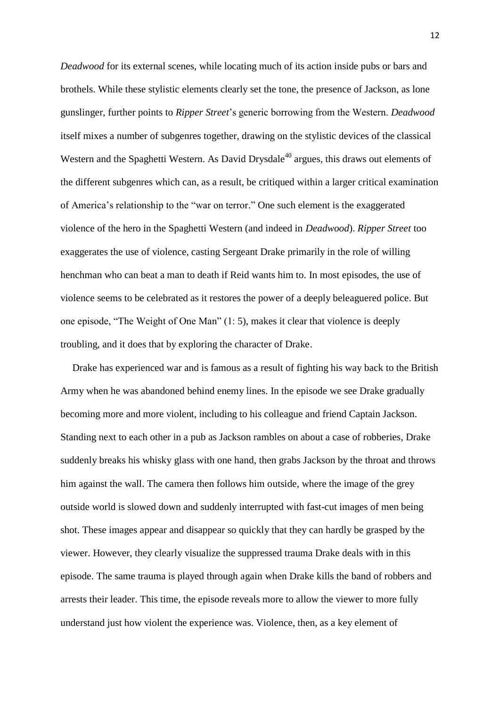*Deadwood* for its external scenes, while locating much of its action inside pubs or bars and brothels. While these stylistic elements clearly set the tone, the presence of Jackson, as lone gunslinger, further points to *Ripper Street*'s generic borrowing from the Western. *Deadwood* itself mixes a number of subgenres together, drawing on the stylistic devices of the classical Western and the Spaghetti Western. As David Drysdale<sup>40</sup> argues, this draws out elements of the different subgenres which can, as a result, be critiqued within a larger critical examination of America's relationship to the "war on terror." One such element is the exaggerated violence of the hero in the Spaghetti Western (and indeed in *Deadwood*). *Ripper Street* too exaggerates the use of violence, casting Sergeant Drake primarily in the role of willing henchman who can beat a man to death if Reid wants him to. In most episodes, the use of violence seems to be celebrated as it restores the power of a deeply beleaguered police. But one episode, "The Weight of One Man" (1: 5), makes it clear that violence is deeply troubling, and it does that by exploring the character of Drake.

Drake has experienced war and is famous as a result of fighting his way back to the British Army when he was abandoned behind enemy lines. In the episode we see Drake gradually becoming more and more violent, including to his colleague and friend Captain Jackson. Standing next to each other in a pub as Jackson rambles on about a case of robberies, Drake suddenly breaks his whisky glass with one hand, then grabs Jackson by the throat and throws him against the wall. The camera then follows him outside, where the image of the grey outside world is slowed down and suddenly interrupted with fast-cut images of men being shot. These images appear and disappear so quickly that they can hardly be grasped by the viewer. However, they clearly visualize the suppressed trauma Drake deals with in this episode. The same trauma is played through again when Drake kills the band of robbers and arrests their leader. This time, the episode reveals more to allow the viewer to more fully understand just how violent the experience was. Violence, then, as a key element of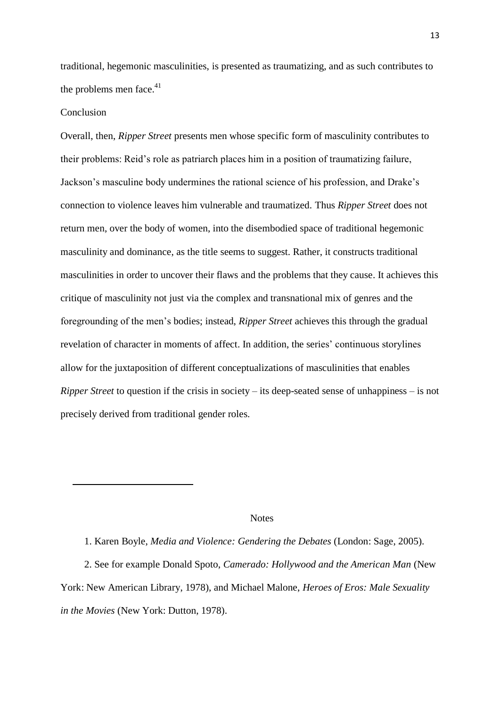traditional, hegemonic masculinities, is presented as traumatizing, and as such contributes to the problems men face. $41$ 

## Conclusion

1

Overall, then, *Ripper Street* presents men whose specific form of masculinity contributes to their problems: Reid's role as patriarch places him in a position of traumatizing failure, Jackson's masculine body undermines the rational science of his profession, and Drake's connection to violence leaves him vulnerable and traumatized. Thus *Ripper Street* does not return men, over the body of women, into the disembodied space of traditional hegemonic masculinity and dominance, as the title seems to suggest. Rather, it constructs traditional masculinities in order to uncover their flaws and the problems that they cause. It achieves this critique of masculinity not just via the complex and transnational mix of genres and the foregrounding of the men's bodies; instead, *Ripper Street* achieves this through the gradual revelation of character in moments of affect. In addition, the series' continuous storylines allow for the juxtaposition of different conceptualizations of masculinities that enables *Ripper Street* to question if the crisis in society – its deep-seated sense of unhappiness – is not precisely derived from traditional gender roles.

## **Notes**

1. Karen Boyle, *Media and Violence: Gendering the Debates* (London: Sage, 2005). 2. See for example Donald Spoto, *Camerado: Hollywood and the American Man* (New York: New American Library, 1978), and Michael Malone, *Heroes of Eros: Male Sexuality in the Movies* (New York: Dutton, 1978).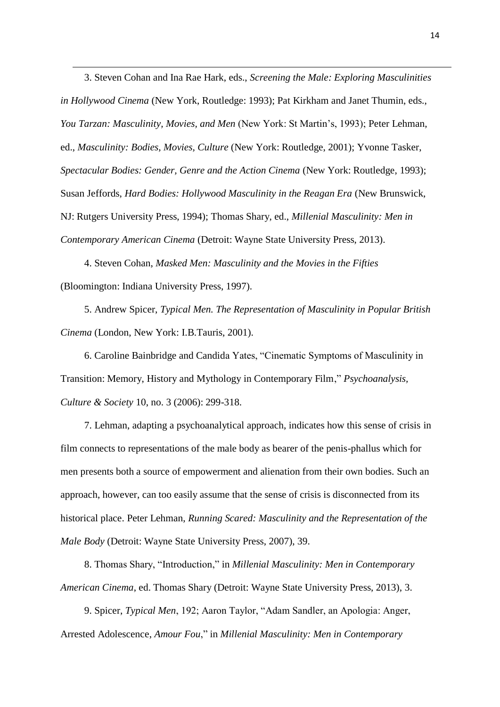3. Steven Cohan and Ina Rae Hark, eds., *Screening the Male: Exploring Masculinities in Hollywood Cinema* (New York, Routledge: 1993); Pat Kirkham and Janet Thumin, eds., *You Tarzan: Masculinity, Movies, and Men* (New York: St Martin's, 1993); Peter Lehman, ed., *Masculinity: Bodies, Movies, Culture* (New York: Routledge, 2001); Yvonne Tasker, *Spectacular Bodies: Gender, Genre and the Action Cinema* (New York: Routledge, 1993); Susan Jeffords, *Hard Bodies: Hollywood Masculinity in the Reagan Era* (New Brunswick, NJ: Rutgers University Press, 1994); Thomas Shary, ed., *Millenial Masculinity: Men in Contemporary American Cinema* (Detroit: Wayne State University Press, 2013).

4. Steven Cohan, *Masked Men: Masculinity and the Movies in the Fifties* (Bloomington: Indiana University Press, 1997).

1

5. Andrew Spicer, *Typical Men. The Representation of Masculinity in Popular British Cinema* (London, New York: I.B.Tauris, 2001).

6. Caroline Bainbridge and Candida Yates, "Cinematic Symptoms of Masculinity in Transition: Memory, History and Mythology in Contemporary Film," *Psychoanalysis, Culture & Society* 10, no. 3 (2006): 299-318.

7. Lehman, adapting a psychoanalytical approach, indicates how this sense of crisis in film connects to representations of the male body as bearer of the penis-phallus which for men presents both a source of empowerment and alienation from their own bodies. Such an approach, however, can too easily assume that the sense of crisis is disconnected from its historical place. Peter Lehman, *Running Scared: Masculinity and the Representation of the Male Body* (Detroit: Wayne State University Press, 2007), 39.

8. Thomas Shary, "Introduction," in *Millenial Masculinity: Men in Contemporary American Cinema*, ed. Thomas Shary (Detroit: Wayne State University Press, 2013), 3.

9. Spicer, *Typical Men*, 192; Aaron Taylor, "Adam Sandler, an Apologia: Anger, Arrested Adolescence, *Amour Fou*," in *Millenial Masculinity: Men in Contemporary*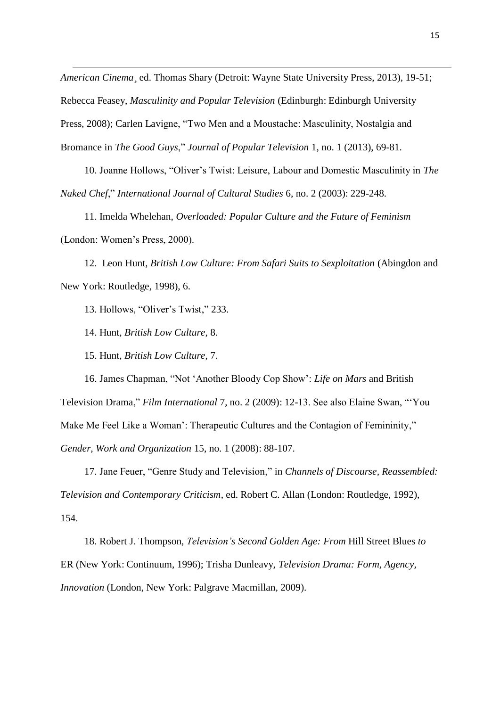*American Cinema*¸ ed. Thomas Shary (Detroit: Wayne State University Press, 2013), 19-51; Rebecca Feasey, *Masculinity and Popular Television* (Edinburgh: Edinburgh University Press, 2008); Carlen Lavigne, "Two Men and a Moustache: Masculinity, Nostalgia and Bromance in *The Good Guys*," *Journal of Popular Television* 1, no. 1 (2013), 69-81.

10. Joanne Hollows, "Oliver's Twist: Leisure, Labour and Domestic Masculinity in *The Naked Chef*," *International Journal of Cultural Studies* 6, no. 2 (2003): 229-248.

11. Imelda Whelehan, *Overloaded: Popular Culture and the Future of Feminism* (London: Women's Press, 2000).

12. Leon Hunt, *British Low Culture: From Safari Suits to Sexploitation* (Abingdon and New York: Routledge, 1998), 6.

13. Hollows, "Oliver's Twist," 233.

14. Hunt, *British Low Culture*, 8.

1

15. Hunt, *British Low Culture*, 7.

16. James Chapman, "Not 'Another Bloody Cop Show': *Life on Mars* and British Television Drama," *Film International* 7, no. 2 (2009): 12-13. See also Elaine Swan, "'You Make Me Feel Like a Woman': Therapeutic Cultures and the Contagion of Femininity," *Gender, Work and Organization* 15, no. 1 (2008): 88-107.

17. Jane Feuer, "Genre Study and Television," in *Channels of Discourse, Reassembled: Television and Contemporary Criticism*, ed. Robert C. Allan (London: Routledge, 1992), 154.

18. Robert J. Thompson, *Television's Second Golden Age: From* Hill Street Blues *to*  ER (New York: Continuum, 1996); Trisha Dunleavy, *Television Drama: Form, Agency, Innovation* (London, New York: Palgrave Macmillan, 2009).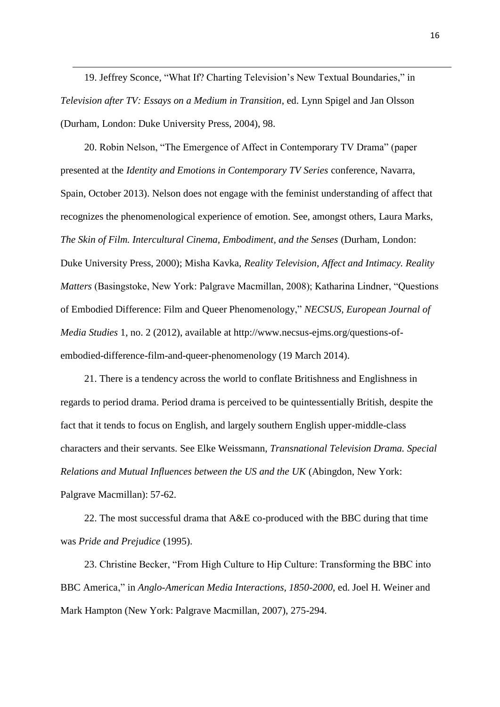19. Jeffrey Sconce, "What If? Charting Television's New Textual Boundaries," in *Television after TV: Essays on a Medium in Transition*, ed. Lynn Spigel and Jan Olsson (Durham, London: Duke University Press, 2004), 98.

1

20. Robin Nelson, "The Emergence of Affect in Contemporary TV Drama" (paper presented at the *Identity and Emotions in Contemporary TV Series* conference, Navarra, Spain, October 2013). Nelson does not engage with the feminist understanding of affect that recognizes the phenomenological experience of emotion. See, amongst others, Laura Marks, *The Skin of Film. Intercultural Cinema, Embodiment, and the Senses* (Durham, London: Duke University Press, 2000); Misha Kavka, *Reality Television, Affect and Intimacy. Reality Matters* (Basingstoke, New York: Palgrave Macmillan, 2008); Katharina Lindner, "Questions of Embodied Difference: Film and Queer Phenomenology," *NECSUS, European Journal of Media Studies* 1, no. 2 (2012), available at http://www.necsus-ejms.org/questions-ofembodied-difference-film-and-queer-phenomenology (19 March 2014).

21. There is a tendency across the world to conflate Britishness and Englishness in regards to period drama. Period drama is perceived to be quintessentially British, despite the fact that it tends to focus on English, and largely southern English upper-middle-class characters and their servants. See Elke Weissmann, *Transnational Television Drama. Special Relations and Mutual Influences between the US and the UK* (Abingdon, New York: Palgrave Macmillan): 57-62.

22. The most successful drama that A&E co-produced with the BBC during that time was *Pride and Prejudice* (1995).

23. Christine Becker, "From High Culture to Hip Culture: Transforming the BBC into BBC America," in *Anglo-American Media Interactions, 1850-2000*, ed. Joel H. Weiner and Mark Hampton (New York: Palgrave Macmillan, 2007), 275-294.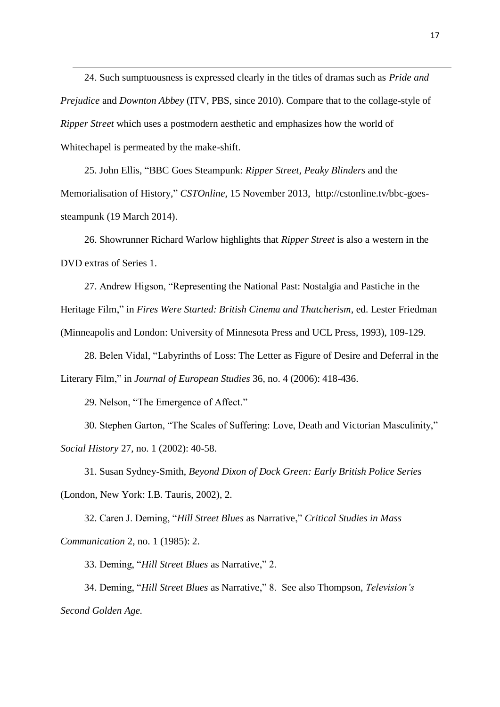24. Such sumptuousness is expressed clearly in the titles of dramas such as *Pride and Prejudice* and *Downton Abbey* (ITV, PBS, since 2010). Compare that to the collage-style of *Ripper Street* which uses a postmodern aesthetic and emphasizes how the world of Whitechapel is permeated by the make-shift.

25. John Ellis, "BBC Goes Steampunk: *Ripper Street*, *Peaky Blinders* and the Memorialisation of History," *CSTOnline*, 15 November 2013, http://cstonline.tv/bbc-goessteampunk (19 March 2014).

26. Showrunner Richard Warlow highlights that *Ripper Street* is also a western in the DVD extras of Series 1.

27. Andrew Higson, "Representing the National Past: Nostalgia and Pastiche in the Heritage Film," in *Fires Were Started: British Cinema and Thatcherism*, ed. Lester Friedman (Minneapolis and London: University of Minnesota Press and UCL Press, 1993), 109-129.

28. Belen Vidal, "Labyrinths of Loss: The Letter as Figure of Desire and Deferral in the Literary Film," in *Journal of European Studies* 36, no. 4 (2006): 418-436.

29. Nelson, "The Emergence of Affect."

1

30. Stephen Garton, "The Scales of Suffering: Love, Death and Victorian Masculinity," *Social History* 27, no. 1 (2002): 40-58.

31. Susan Sydney-Smith, *Beyond Dixon of Dock Green: Early British Police Series*  (London, New York: I.B. Tauris, 2002), 2.

32. Caren J. Deming, "*Hill Street Blues* as Narrative," *Critical Studies in Mass Communication* 2, no. 1 (1985): 2.

33. Deming, "*Hill Street Blues* as Narrative," 2.

34. Deming, "*Hill Street Blues* as Narrative," 8. See also Thompson, *Television's Second Golden Age.*